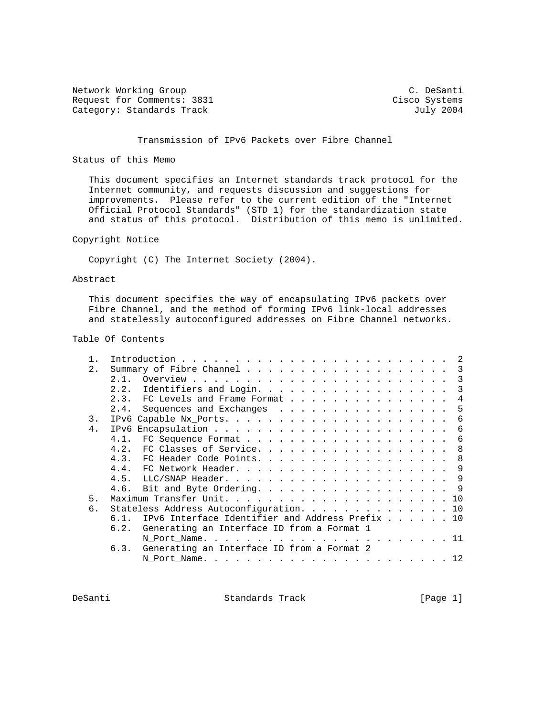Network Working Group C. DeSanti Request for Comments: 3831 Cisco Systems<br>
Category: Standards Track Guly 2004 Category: Standards Track

# Transmission of IPv6 Packets over Fibre Channel

## Status of this Memo

 This document specifies an Internet standards track protocol for the Internet community, and requests discussion and suggestions for improvements. Please refer to the current edition of the "Internet Official Protocol Standards" (STD 1) for the standardization state and status of this protocol. Distribution of this memo is unlimited.

## Copyright Notice

Copyright (C) The Internet Society (2004).

## Abstract

 This document specifies the way of encapsulating IPv6 packets over Fibre Channel, and the method of forming IPv6 link-local addresses and statelessly autoconfigured addresses on Fibre Channel networks.

## Table Of Contents

| $2$ . | Summary of Fibre Channel 3                                          |    |
|-------|---------------------------------------------------------------------|----|
|       | 2 1                                                                 | 3  |
|       | Identifiers and Login.<br>2.2.                                      | 3  |
|       | 2.3. FC Levels and Frame Format                                     | 4  |
|       | 2.4.<br>Sequences and Exchanges                                     | 5  |
| 3.    |                                                                     | 6  |
| 4.    | IPv6                                                                | 6  |
|       | 4.1.                                                                | -6 |
|       | 4.2. FC Classes of Service.<br>- 8                                  |    |
|       | 4.3. FC Header Code Points. 8                                       |    |
|       |                                                                     |    |
|       | 4.5.                                                                |    |
|       | 4.6. Bit and Byte Ordering. 9                                       |    |
| 5.    |                                                                     |    |
| б.    | Stateless Address Autoconfiguration. 10                             |    |
|       | IPv6 Interface Identifier and Address Prefix $\ldots$ 10<br>$6.1$ . |    |
|       | 6.2. Generating an Interface ID from a Format 1                     |    |
|       |                                                                     |    |
|       | Generating an Interface ID from a Format 2<br>6.3.                  |    |
|       |                                                                     |    |
|       |                                                                     |    |

DeSanti Standards Track [Page 1]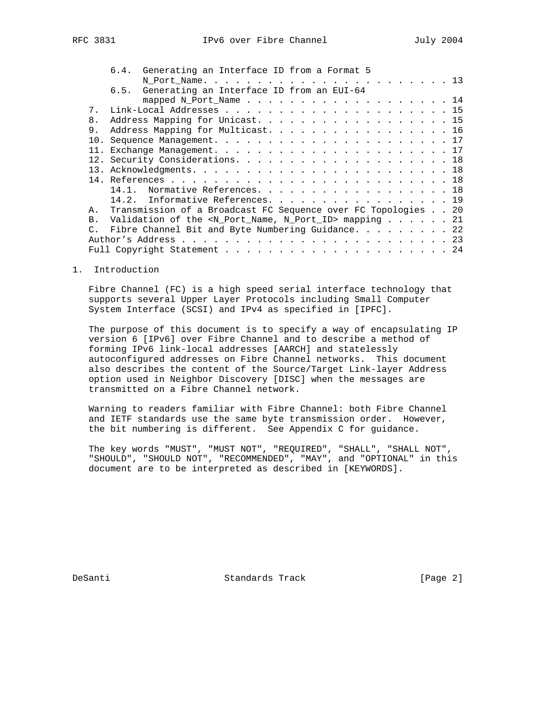|                 | 6.4. Generating an Interface ID from a Format 5                         |
|-----------------|-------------------------------------------------------------------------|
|                 |                                                                         |
|                 | 6.5. Generating an Interface ID from an EUI-64                          |
|                 | mapped N_Port_Name 14                                                   |
| 7.              |                                                                         |
| 8.              | Address Mapping for Unicast. 15                                         |
| 9.              | Address Mapping for Multicast. 16                                       |
| 10.             |                                                                         |
| 11.             |                                                                         |
|                 |                                                                         |
|                 |                                                                         |
|                 |                                                                         |
|                 | Normative References. 18<br>14.1.                                       |
|                 | 14.2. Informative References. 19                                        |
| A.              | Transmission of a Broadcast FC Sequence over FC Topologies 20           |
| B <sub>1</sub>  | Validation of the <n_port_name, n_port_id=""> mapping 21</n_port_name,> |
| $\mathcal{C}$ . | Fibre Channel Bit and Byte Numbering Guidance. 22                       |
|                 |                                                                         |
|                 |                                                                         |

## 1. Introduction

 Fibre Channel (FC) is a high speed serial interface technology that supports several Upper Layer Protocols including Small Computer System Interface (SCSI) and IPv4 as specified in [IPFC].

 The purpose of this document is to specify a way of encapsulating IP version 6 [IPv6] over Fibre Channel and to describe a method of forming IPv6 link-local addresses [AARCH] and statelessly autoconfigured addresses on Fibre Channel networks. This document also describes the content of the Source/Target Link-layer Address option used in Neighbor Discovery [DISC] when the messages are transmitted on a Fibre Channel network.

 Warning to readers familiar with Fibre Channel: both Fibre Channel and IETF standards use the same byte transmission order. However, the bit numbering is different. See Appendix C for guidance.

 The key words "MUST", "MUST NOT", "REQUIRED", "SHALL", "SHALL NOT", "SHOULD", "SHOULD NOT", "RECOMMENDED", "MAY", and "OPTIONAL" in this document are to be interpreted as described in [KEYWORDS].

DeSanti Standards Track [Page 2]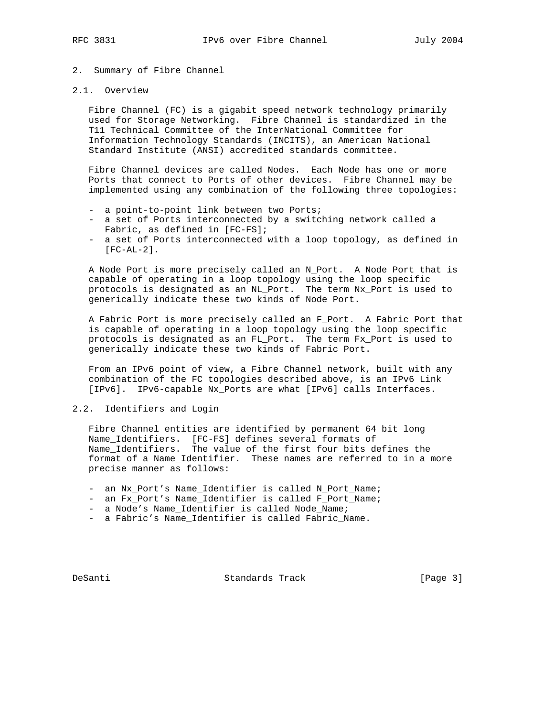# 2. Summary of Fibre Channel

## 2.1. Overview

 Fibre Channel (FC) is a gigabit speed network technology primarily used for Storage Networking. Fibre Channel is standardized in the T11 Technical Committee of the InterNational Committee for Information Technology Standards (INCITS), an American National Standard Institute (ANSI) accredited standards committee.

 Fibre Channel devices are called Nodes. Each Node has one or more Ports that connect to Ports of other devices. Fibre Channel may be implemented using any combination of the following three topologies:

- a point-to-point link between two Ports;
- a set of Ports interconnected by a switching network called a Fabric, as defined in [FC-FS];
- a set of Ports interconnected with a loop topology, as defined in [FC-AL-2].

 A Node Port is more precisely called an N\_Port. A Node Port that is capable of operating in a loop topology using the loop specific protocols is designated as an NL\_Port. The term Nx\_Port is used to generically indicate these two kinds of Node Port.

 A Fabric Port is more precisely called an F\_Port. A Fabric Port that is capable of operating in a loop topology using the loop specific protocols is designated as an FL\_Port. The term Fx\_Port is used to generically indicate these two kinds of Fabric Port.

 From an IPv6 point of view, a Fibre Channel network, built with any combination of the FC topologies described above, is an IPv6 Link [IPv6]. IPv6-capable Nx\_Ports are what [IPv6] calls Interfaces.

## 2.2. Identifiers and Login

 Fibre Channel entities are identified by permanent 64 bit long Name\_Identifiers. [FC-FS] defines several formats of Name\_Identifiers. The value of the first four bits defines the format of a Name\_Identifier. These names are referred to in a more precise manner as follows:

- an Nx\_Port's Name\_Identifier is called N\_Port\_Name;
- an Fx\_Port's Name\_Identifier is called F\_Port\_Name;
- a Node's Name\_Identifier is called Node\_Name;
- a Fabric's Name\_Identifier is called Fabric\_Name.

DeSanti Standards Track [Page 3]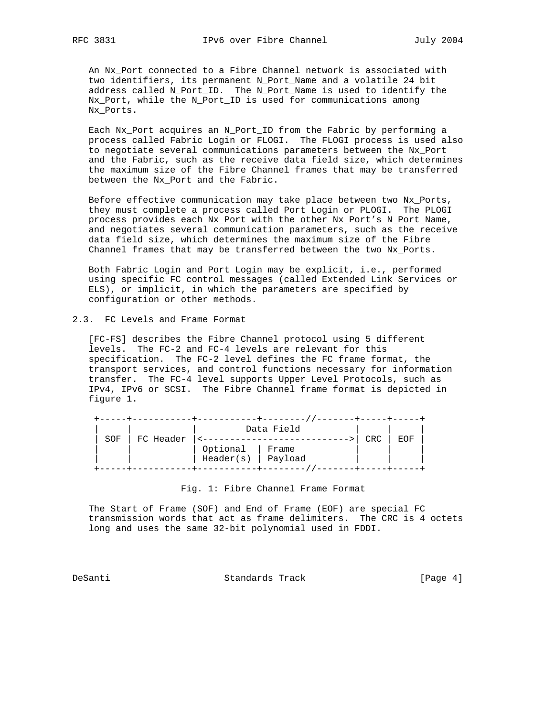An Nx\_Port connected to a Fibre Channel network is associated with two identifiers, its permanent N\_Port\_Name and a volatile 24 bit address called N\_Port\_ID. The N\_Port\_Name is used to identify the Nx\_Port, while the N\_Port\_ID is used for communications among Nx\_Ports.

 Each Nx\_Port acquires an N\_Port\_ID from the Fabric by performing a process called Fabric Login or FLOGI. The FLOGI process is used also to negotiate several communications parameters between the Nx\_Port and the Fabric, such as the receive data field size, which determines the maximum size of the Fibre Channel frames that may be transferred between the Nx\_Port and the Fabric.

 Before effective communication may take place between two Nx\_Ports, they must complete a process called Port Login or PLOGI. The PLOGI process provides each Nx\_Port with the other Nx\_Port's N\_Port\_Name, and negotiates several communication parameters, such as the receive data field size, which determines the maximum size of the Fibre Channel frames that may be transferred between the two Nx\_Ports.

 Both Fabric Login and Port Login may be explicit, i.e., performed using specific FC control messages (called Extended Link Services or ELS), or implicit, in which the parameters are specified by configuration or other methods.

2.3. FC Levels and Frame Format

 [FC-FS] describes the Fibre Channel protocol using 5 different levels. The FC-2 and FC-4 levels are relevant for this specification. The FC-2 level defines the FC frame format, the transport services, and control functions necessary for information transfer. The FC-4 level supports Upper Level Protocols, such as IPv4, IPv6 or SCSI. The Fibre Channel frame format is depicted in figure 1.

|     |           |           | Data Field |            |            |
|-----|-----------|-----------|------------|------------|------------|
| SOF | FC Header |           |            | <b>CRC</b> | <b>EOF</b> |
|     |           | Optional  | Frame      |            |            |
|     |           | Header(s) | Payload    |            |            |
|     |           |           |            |            |            |

Fig. 1: Fibre Channel Frame Format

 The Start of Frame (SOF) and End of Frame (EOF) are special FC transmission words that act as frame delimiters. The CRC is 4 octets long and uses the same 32-bit polynomial used in FDDI.

DeSanti Standards Track [Page 4]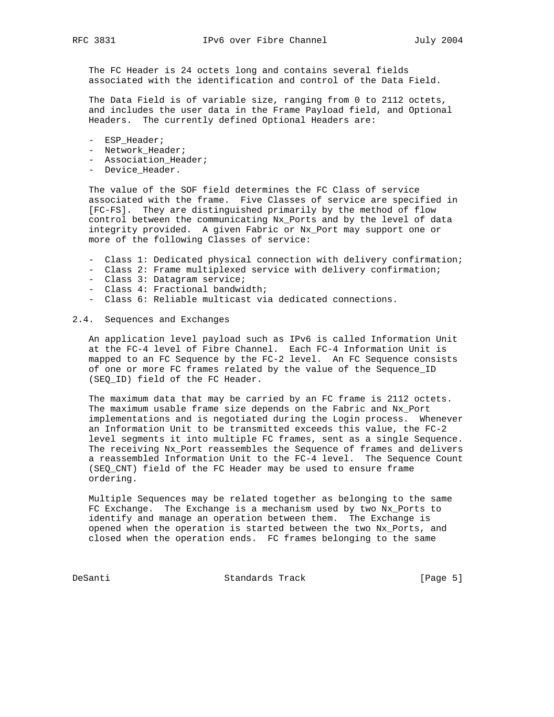The FC Header is 24 octets long and contains several fields associated with the identification and control of the Data Field.

 The Data Field is of variable size, ranging from 0 to 2112 octets, and includes the user data in the Frame Payload field, and Optional Headers. The currently defined Optional Headers are:

- ESP\_Header;
- Network\_Header;
- Association Header;
- Device\_Header.

 The value of the SOF field determines the FC Class of service associated with the frame. Five Classes of service are specified in [FC-FS]. They are distinguished primarily by the method of flow control between the communicating Nx\_Ports and by the level of data integrity provided. A given Fabric or Nx\_Port may support one or more of the following Classes of service:

- Class 1: Dedicated physical connection with delivery confirmation;
- Class 2: Frame multiplexed service with delivery confirmation;
- Class 3: Datagram service;
- Class 4: Fractional bandwidth;
- Class 6: Reliable multicast via dedicated connections.

## 2.4. Sequences and Exchanges

 An application level payload such as IPv6 is called Information Unit at the FC-4 level of Fibre Channel. Each FC-4 Information Unit is mapped to an FC Sequence by the FC-2 level. An FC Sequence consists of one or more FC frames related by the value of the Sequence\_ID (SEQ\_ID) field of the FC Header.

 The maximum data that may be carried by an FC frame is 2112 octets. The maximum usable frame size depends on the Fabric and Nx\_Port implementations and is negotiated during the Login process. Whenever an Information Unit to be transmitted exceeds this value, the FC-2 level segments it into multiple FC frames, sent as a single Sequence. The receiving Nx\_Port reassembles the Sequence of frames and delivers a reassembled Information Unit to the FC-4 level. The Sequence Count (SEQ\_CNT) field of the FC Header may be used to ensure frame ordering.

 Multiple Sequences may be related together as belonging to the same FC Exchange. The Exchange is a mechanism used by two Nx\_Ports to identify and manage an operation between them. The Exchange is opened when the operation is started between the two Nx\_Ports, and closed when the operation ends. FC frames belonging to the same

DeSanti Standards Track [Page 5]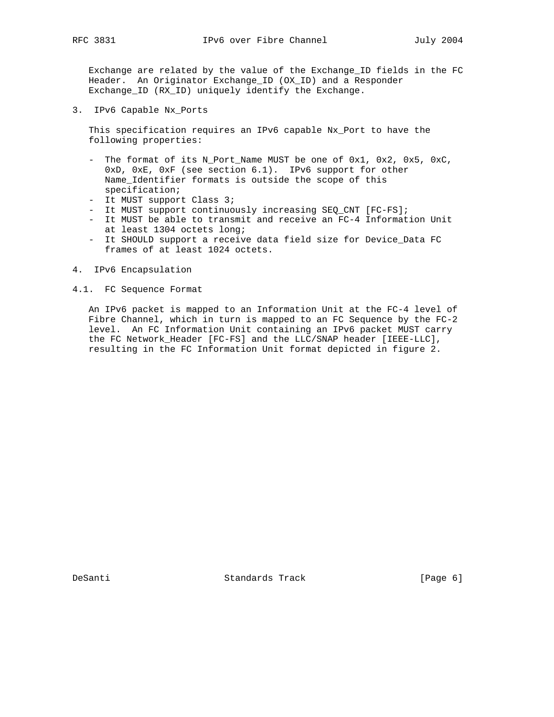Exchange are related by the value of the Exchange\_ID fields in the FC Header. An Originator Exchange\_ID (OX\_ID) and a Responder Exchange\_ID (RX\_ID) uniquely identify the Exchange.

3. IPv6 Capable Nx\_Ports

 This specification requires an IPv6 capable Nx\_Port to have the following properties:

- The format of its N Port Name MUST be one of  $0x1$ ,  $0x2$ ,  $0x5$ ,  $0xC$ , 0xD, 0xE, 0xF (see section 6.1). IPv6 support for other Name\_Identifier formats is outside the scope of this specification;
- It MUST support Class 3;
- It MUST support continuously increasing SEQ\_CNT [FC-FS];
- It MUST be able to transmit and receive an FC-4 Information Unit at least 1304 octets long;
- It SHOULD support a receive data field size for Device\_Data FC frames of at least 1024 octets.
- 4. IPv6 Encapsulation

4.1. FC Sequence Format

 An IPv6 packet is mapped to an Information Unit at the FC-4 level of Fibre Channel, which in turn is mapped to an FC Sequence by the FC-2 level. An FC Information Unit containing an IPv6 packet MUST carry the FC Network\_Header [FC-FS] and the LLC/SNAP header [IEEE-LLC], resulting in the FC Information Unit format depicted in figure 2.

DeSanti Standards Track [Page 6]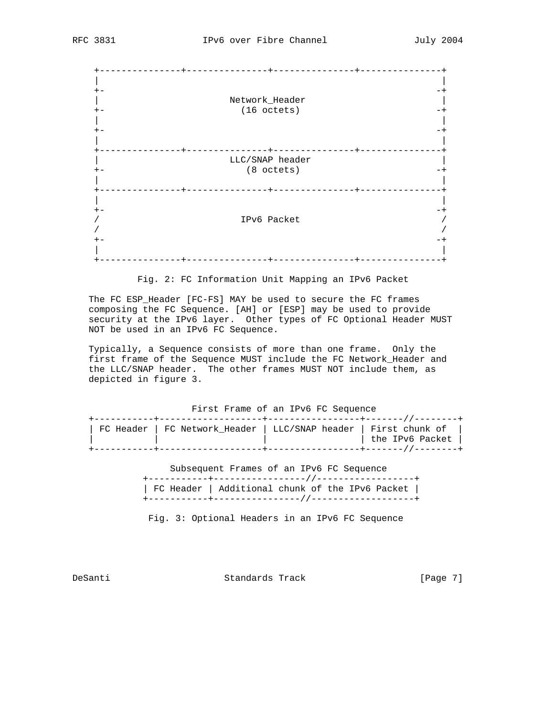| Network_Header  |  |
|-----------------|--|
| (16 octets)     |  |
|                 |  |
|                 |  |
|                 |  |
|                 |  |
|                 |  |
|                 |  |
|                 |  |
| LLC/SNAP header |  |
| $(8$ octets)    |  |
|                 |  |
|                 |  |
|                 |  |
|                 |  |
|                 |  |
|                 |  |
| IPv6 Packet     |  |
|                 |  |
|                 |  |
|                 |  |
|                 |  |
|                 |  |

Fig. 2: FC Information Unit Mapping an IPv6 Packet

 The FC ESP\_Header [FC-FS] MAY be used to secure the FC frames composing the FC Sequence. [AH] or [ESP] may be used to provide security at the IPv6 layer. Other types of FC Optional Header MUST NOT be used in an IPv6 FC Sequence.

 Typically, a Sequence consists of more than one frame. Only the first frame of the Sequence MUST include the FC Network\_Header and the LLC/SNAP header. The other frames MUST NOT include them, as depicted in figure 3.

First Frame of an IPv6 FC Sequence

|                                                                  | ---------+------------------+------- / / ------- |                 |
|------------------------------------------------------------------|--------------------------------------------------|-----------------|
| FC Header   FC Network Header   LLC/SNAP header   First chunk of |                                                  |                 |
|                                                                  |                                                  | the IPv6 Packet |
|                                                                  |                                                  |                 |

 Subsequent Frames of an IPv6 FC Sequence +-----------+-----------------//------------------+ | FC Header | Additional chunk of the IPv6 Packet | +-----------+----------------//-------------------+

Fig. 3: Optional Headers in an IPv6 FC Sequence

DeSanti Standards Track [Page 7]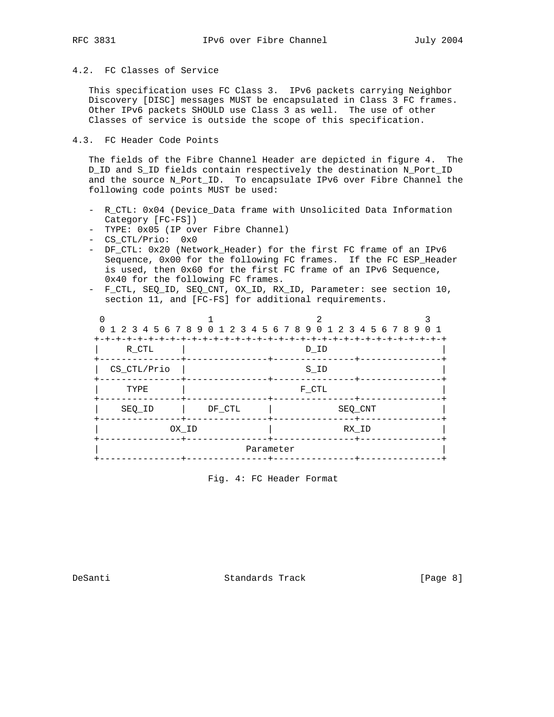# 4.2. FC Classes of Service

 This specification uses FC Class 3. IPv6 packets carrying Neighbor Discovery [DISC] messages MUST be encapsulated in Class 3 FC frames. Other IPv6 packets SHOULD use Class 3 as well. The use of other Classes of service is outside the scope of this specification.

# 4.3. FC Header Code Points

 The fields of the Fibre Channel Header are depicted in figure 4. The D\_ID and S\_ID fields contain respectively the destination N\_Port\_ID and the source N\_Port\_ID. To encapsulate IPv6 over Fibre Channel the following code points MUST be used:

- R\_CTL: 0x04 (Device\_Data frame with Unsolicited Data Information Category [FC-FS])
- TYPE: 0x05 (IP over Fibre Channel)
- CS\_CTL/Prio: 0x0
- DF\_CTL: 0x20 (Network\_Header) for the first FC frame of an IPv6 Sequence, 0x00 for the following FC frames. If the FC ESP\_Header is used, then 0x60 for the first FC frame of an IPv6 Sequence, 0x40 for the following FC frames.
- F\_CTL, SEQ\_ID, SEQ\_CNT, OX\_ID, RX\_ID, Parameter: see section 10, section 11, and [FC-FS] for additional requirements.

|             |        | 0 1 2 3 4 5 6 7 8 9 0 1 2 3 4 5 6 7 8 9 0 1 2 3 4 5 6 7 8 9 0 1 |  |
|-------------|--------|-----------------------------------------------------------------|--|
| R CTL       |        | D ID                                                            |  |
| CS CTL/Prio |        | ------+------<br>S ID                                           |  |
| TYPE        |        | F CTL                                                           |  |
| SEQ ID      | DF CTL | SEQ CNT<br>-----+--                                             |  |
| OX ID       |        | RX ID                                                           |  |
|             |        | Parameter                                                       |  |
|             |        |                                                                 |  |

Fig. 4: FC Header Format

DeSanti Standards Track [Page 8]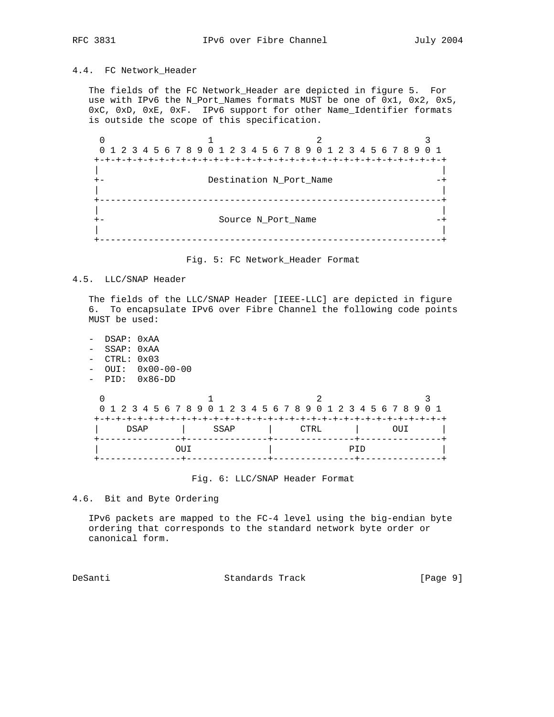# 4.4. FC Network\_Header

 The fields of the FC Network\_Header are depicted in figure 5. For use with IPv6 the N\_Port\_Names formats MUST be one of 0x1, 0x2, 0x5, 0xC, 0xD, 0xE, 0xF. IPv6 support for other Name\_Identifier formats is outside the scope of this specification.

 $0$  1 2 3 0 1 2 3 4 5 6 7 8 9 0 1 2 3 4 5 6 7 8 9 0 1 2 3 4 5 6 7 8 9 0 1 +-+-+-+-+-+-+-+-+-+-+-+-+-+-+-+-+-+-+-+-+-+-+-+-+-+-+-+-+-+-+-+-+ | | +- Destination N\_Port\_Name -+ | | +---------------------------------------------------------------+ | | +- Source N\_Port\_Name -+ | | +---------------------------------------------------------------+

Fig. 5: FC Network\_Header Format

## 4.5. LLC/SNAP Header

 The fields of the LLC/SNAP Header [IEEE-LLC] are depicted in figure 6. To encapsulate IPv6 over Fibre Channel the following code points MUST be used:

 - DSAP: 0xAA - SSAP: 0xAA - CTRL: 0x03 - OUI: 0x00-00-00 - PID: 0x86-DD

|  |  |      |  |  |       | 0 1 2 3 4 5 6 7 8 9 0 1 2 3 4 5 6 7 8 9 0 1 2 3 4 5 6 7 8 9 0 1 |      |  |  |  |      |  |  |     |  |     |  |  |
|--|--|------|--|--|-------|-----------------------------------------------------------------|------|--|--|--|------|--|--|-----|--|-----|--|--|
|  |  |      |  |  |       |                                                                 |      |  |  |  |      |  |  |     |  |     |  |  |
|  |  | DSAP |  |  |       |                                                                 | SSAP |  |  |  | CTRL |  |  |     |  | OUT |  |  |
|  |  |      |  |  |       |                                                                 |      |  |  |  |      |  |  |     |  |     |  |  |
|  |  |      |  |  | . TIT |                                                                 |      |  |  |  |      |  |  | PTD |  |     |  |  |
|  |  |      |  |  |       |                                                                 |      |  |  |  |      |  |  |     |  |     |  |  |

Fig. 6: LLC/SNAP Header Format

4.6. Bit and Byte Ordering

 IPv6 packets are mapped to the FC-4 level using the big-endian byte ordering that corresponds to the standard network byte order or canonical form.

DeSanti Standards Track [Page 9]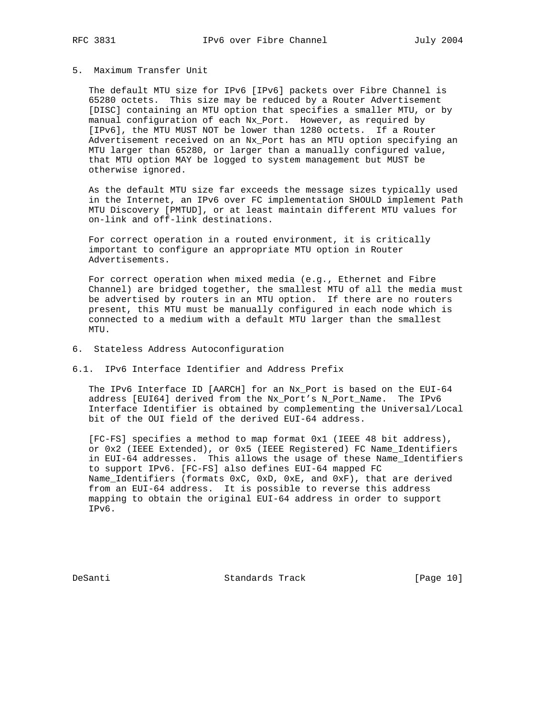# 5. Maximum Transfer Unit

 The default MTU size for IPv6 [IPv6] packets over Fibre Channel is 65280 octets. This size may be reduced by a Router Advertisement [DISC] containing an MTU option that specifies a smaller MTU, or by manual configuration of each Nx\_Port. However, as required by [IPv6], the MTU MUST NOT be lower than 1280 octets. If a Router Advertisement received on an Nx\_Port has an MTU option specifying an MTU larger than 65280, or larger than a manually configured value, that MTU option MAY be logged to system management but MUST be otherwise ignored.

 As the default MTU size far exceeds the message sizes typically used in the Internet, an IPv6 over FC implementation SHOULD implement Path MTU Discovery [PMTUD], or at least maintain different MTU values for on-link and off-link destinations.

 For correct operation in a routed environment, it is critically important to configure an appropriate MTU option in Router Advertisements.

 For correct operation when mixed media (e.g., Ethernet and Fibre Channel) are bridged together, the smallest MTU of all the media must be advertised by routers in an MTU option. If there are no routers present, this MTU must be manually configured in each node which is connected to a medium with a default MTU larger than the smallest MTU.

- 6. Stateless Address Autoconfiguration
- 6.1. IPv6 Interface Identifier and Address Prefix

 The IPv6 Interface ID [AARCH] for an Nx\_Port is based on the EUI-64 address [EUI64] derived from the Nx\_Port's N\_Port\_Name. The IPv6 Interface Identifier is obtained by complementing the Universal/Local bit of the OUI field of the derived EUI-64 address.

 [FC-FS] specifies a method to map format 0x1 (IEEE 48 bit address), or 0x2 (IEEE Extended), or 0x5 (IEEE Registered) FC Name\_Identifiers in EUI-64 addresses. This allows the usage of these Name\_Identifiers to support IPv6. [FC-FS] also defines EUI-64 mapped FC Name\_Identifiers (formats 0xC, 0xD, 0xE, and 0xF), that are derived from an EUI-64 address. It is possible to reverse this address mapping to obtain the original EUI-64 address in order to support IPv6.

DeSanti Standards Track [Page 10]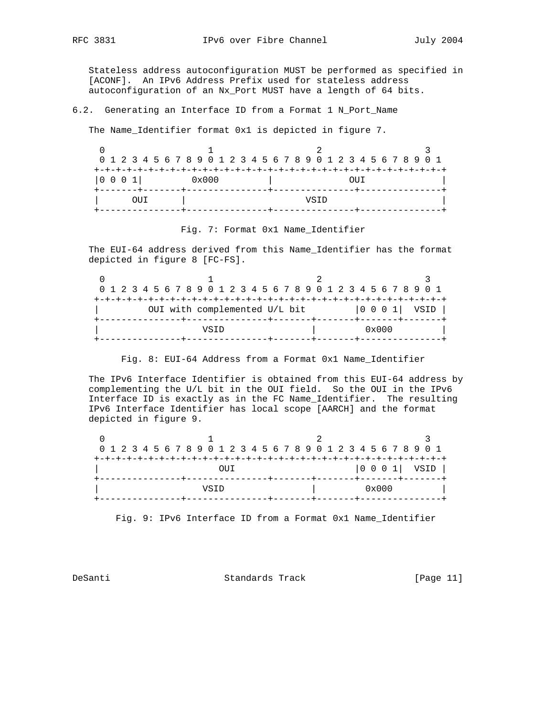Stateless address autoconfiguration MUST be performed as specified in [ACONF]. An IPv6 Address Prefix used for stateless address autoconfiguration of an Nx\_Port MUST have a length of 64 bits.

6.2. Generating an Interface ID from a Format 1 N\_Port\_Name

The Name\_Identifier format 0x1 is depicted in figure 7.

|      |                | 0 1 2 3 4 5 6 7 8 9 0 1 2 3 4 5 6 7 8 9 0 1 2 3 4 5 6 7 8 9 0 1 |  |
|------|----------------|-----------------------------------------------------------------|--|
|      |                |                                                                 |  |
| 0001 | $0 \times 000$ | OHT                                                             |  |
| (111 |                | VSTD                                                            |  |
|      |                |                                                                 |  |

Fig. 7: Format 0x1 Name\_Identifier

 The EUI-64 address derived from this Name\_Identifier has the format depicted in figure 8 [FC-FS].

|                               | 0 1 2 3 4 5 6 7 8 9 0 1 2 3 4 5 6 7 8 9 0 1 2 3 4 5 6 7 8 9 0 1 |                |
|-------------------------------|-----------------------------------------------------------------|----------------|
|                               |                                                                 |                |
| OUI with complemented U/L bit |                                                                 | 0 0 0 1   VSID |
|                               |                                                                 |                |
| VSTD                          | $0 \times 000$                                                  |                |
|                               |                                                                 |                |

Fig. 8: EUI-64 Address from a Format 0x1 Name\_Identifier

 The IPv6 Interface Identifier is obtained from this EUI-64 address by complementing the U/L bit in the OUI field. So the OUI in the IPv6 Interface ID is exactly as in the FC Name\_Identifier. The resulting IPv6 Interface Identifier has local scope [AARCH] and the format depicted in figure 9.

| 0 1 2 3 4 5 6 7 8 9 0 1 2 3 4 5 6 7 8 9 0 1 2 3 4 5 6 7 8 9 0 1 |  |  |      |      |  |  |  |  |  |                 |  |                |  |  |  |
|-----------------------------------------------------------------|--|--|------|------|--|--|--|--|--|-----------------|--|----------------|--|--|--|
|                                                                 |  |  |      |      |  |  |  |  |  |                 |  |                |  |  |  |
|                                                                 |  |  |      | OTTT |  |  |  |  |  |                 |  |                |  |  |  |
|                                                                 |  |  |      |      |  |  |  |  |  | ---+-------+--- |  |                |  |  |  |
|                                                                 |  |  | VSTD |      |  |  |  |  |  |                 |  | $0 \times 000$ |  |  |  |
|                                                                 |  |  |      |      |  |  |  |  |  |                 |  |                |  |  |  |

Fig. 9: IPv6 Interface ID from a Format 0x1 Name\_Identifier

DeSanti Standards Track [Page 11]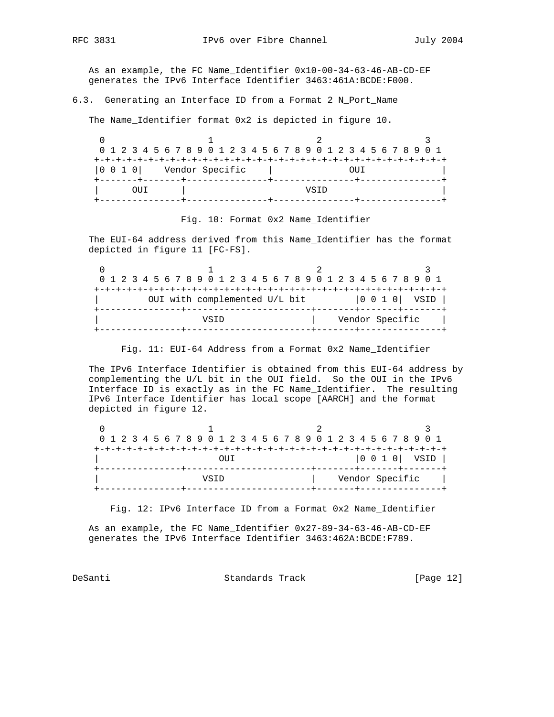As an example, the FC Name\_Identifier 0x10-00-34-63-46-AB-CD-EF generates the IPv6 Interface Identifier 3463:461A:BCDE:F000.

6.3. Generating an Interface ID from a Format 2 N\_Port\_Name

The Name\_Identifier format 0x2 is depicted in figure 10.

|                   |                 | 0 1 2 3 4 5 6 7 8 9 0 1 2 3 4 5 6 7 8 9 0 1 2 3 4 5 6 7 8 9 0 1 |  |
|-------------------|-----------------|-----------------------------------------------------------------|--|
|                   |                 |                                                                 |  |
| $ 0 \t0 \t1 \t0 $ | Vendor Specific | OUT                                                             |  |
|                   |                 |                                                                 |  |
|                   |                 | VSTD                                                            |  |
|                   |                 |                                                                 |  |

Fig. 10: Format 0x2 Name\_Identifier

 The EUI-64 address derived from this Name\_Identifier has the format depicted in figure 11 [FC-FS].

| 0 1 2 3 4 5 6 7 8 9 0 1 2 3 4 5 6 7 8 9 0 1 2 3 4 5 6 7 8 9 0 1 |                 |
|-----------------------------------------------------------------|-----------------|
| OUI with complemented U/L bit                                   |                 |
| VSTD                                                            | Vendor Specific |

Fig. 11: EUI-64 Address from a Format 0x2 Name\_Identifier

 The IPv6 Interface Identifier is obtained from this EUI-64 address by complementing the U/L bit in the OUI field. So the OUI in the IPv6 Interface ID is exactly as in the FC Name\_Identifier. The resulting IPv6 Interface Identifier has local scope [AARCH] and the format depicted in figure 12.

|      | 0 1 2 3 4 5 6 7 8 9 0 1 2 3 4 5 6 7 8 9 0 1 2 3 4 5 6 7 8 9 0 1 |  |
|------|-----------------------------------------------------------------|--|
| DU L |                                                                 |  |
| VSTD | ---+-------+------<br>Vendor Specific                           |  |

Fig. 12: IPv6 Interface ID from a Format 0x2 Name\_Identifier

 As an example, the FC Name\_Identifier 0x27-89-34-63-46-AB-CD-EF generates the IPv6 Interface Identifier 3463:462A:BCDE:F789.

DeSanti Standards Track [Page 12]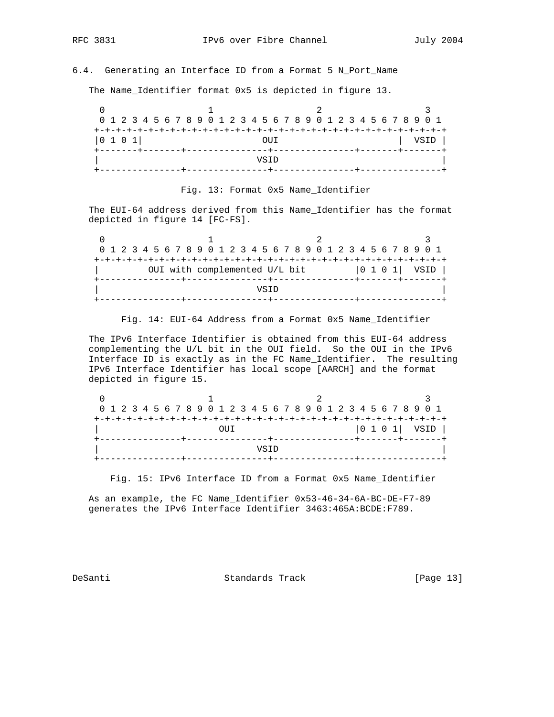# 6.4. Generating an Interface ID from a Format 5 N\_Port\_Name

The Name\_Identifier format 0x5 is depicted in figure 13.

| 0 1 2 3 4 5 6 7 8 9 0 1 2 3 4 5 6 7 8 9 0 1 2 3 4 5 6 7 8 9 0 1 |  |  |  |  |  |  |      |  |  |  |  |  |  |  |      |  |
|-----------------------------------------------------------------|--|--|--|--|--|--|------|--|--|--|--|--|--|--|------|--|
|                                                                 |  |  |  |  |  |  |      |  |  |  |  |  |  |  |      |  |
| 0101                                                            |  |  |  |  |  |  | OTTT |  |  |  |  |  |  |  | VSID |  |
|                                                                 |  |  |  |  |  |  |      |  |  |  |  |  |  |  |      |  |
|                                                                 |  |  |  |  |  |  | VSTD |  |  |  |  |  |  |  |      |  |
|                                                                 |  |  |  |  |  |  |      |  |  |  |  |  |  |  |      |  |

# Fig. 13: Format 0x5 Name\_Identifier

 The EUI-64 address derived from this Name\_Identifier has the format depicted in figure 14 [FC-FS].

|  |      | 0 1 2 3 4 5 6 7 8 9 0 1 2 3 4 5 6 7 8 9 0 1 2 3 4 5 6 7 8 9 0 1 |  |  |  |  |  |  |  |  |  |  |  |  |  |  |  |  |                                       |  |  |  |  |  |  |  |  |  |  |
|--|------|-----------------------------------------------------------------|--|--|--|--|--|--|--|--|--|--|--|--|--|--|--|--|---------------------------------------|--|--|--|--|--|--|--|--|--|--|
|  |      |                                                                 |  |  |  |  |  |  |  |  |  |  |  |  |  |  |  |  | +-+-+-+-+-+-+-+-+-+-+-+-+-+-+-+-+-+-+ |  |  |  |  |  |  |  |  |  |  |
|  |      | 0 1 0 1   VSID<br>OUI with complemented U/L bit                 |  |  |  |  |  |  |  |  |  |  |  |  |  |  |  |  |                                       |  |  |  |  |  |  |  |  |  |  |
|  |      |                                                                 |  |  |  |  |  |  |  |  |  |  |  |  |  |  |  |  |                                       |  |  |  |  |  |  |  |  |  |  |
|  | VSTD |                                                                 |  |  |  |  |  |  |  |  |  |  |  |  |  |  |  |  |                                       |  |  |  |  |  |  |  |  |  |  |
|  |      |                                                                 |  |  |  |  |  |  |  |  |  |  |  |  |  |  |  |  |                                       |  |  |  |  |  |  |  |  |  |  |

Fig. 14: EUI-64 Address from a Format 0x5 Name\_Identifier

 The IPv6 Interface Identifier is obtained from this EUI-64 address complementing the U/L bit in the OUI field. So the OUI in the IPv6 Interface ID is exactly as in the FC Name\_Identifier. The resulting IPv6 Interface Identifier has local scope [AARCH] and the format depicted in figure 15.

|  |  |      |  |  |  |  |  |  |  |  |  |  |  |  |  |  |  |  |  |  |  |  |  |  |  | 0 1 2 3 4 5 6 7 8 9 0 1 2 3 4 5 6 7 8 9 0 1 2 3 4 5 6 7 8 9 0 1 |  |  |  |
|--|--|------|--|--|--|--|--|--|--|--|--|--|--|--|--|--|--|--|--|--|--|--|--|--|--|-----------------------------------------------------------------|--|--|--|
|  |  |      |  |  |  |  |  |  |  |  |  |  |  |  |  |  |  |  |  |  |  |  |  |  |  |                                                                 |  |  |  |
|  |  | OUT  |  |  |  |  |  |  |  |  |  |  |  |  |  |  |  |  |  |  |  |  |  |  |  |                                                                 |  |  |  |
|  |  |      |  |  |  |  |  |  |  |  |  |  |  |  |  |  |  |  |  |  |  |  |  |  |  |                                                                 |  |  |  |
|  |  | VSTD |  |  |  |  |  |  |  |  |  |  |  |  |  |  |  |  |  |  |  |  |  |  |  |                                                                 |  |  |  |
|  |  |      |  |  |  |  |  |  |  |  |  |  |  |  |  |  |  |  |  |  |  |  |  |  |  |                                                                 |  |  |  |

Fig. 15: IPv6 Interface ID from a Format 0x5 Name\_Identifier

 As an example, the FC Name\_Identifier 0x53-46-34-6A-BC-DE-F7-89 generates the IPv6 Interface Identifier 3463:465A:BCDE:F789.

DeSanti Standards Track [Page 13]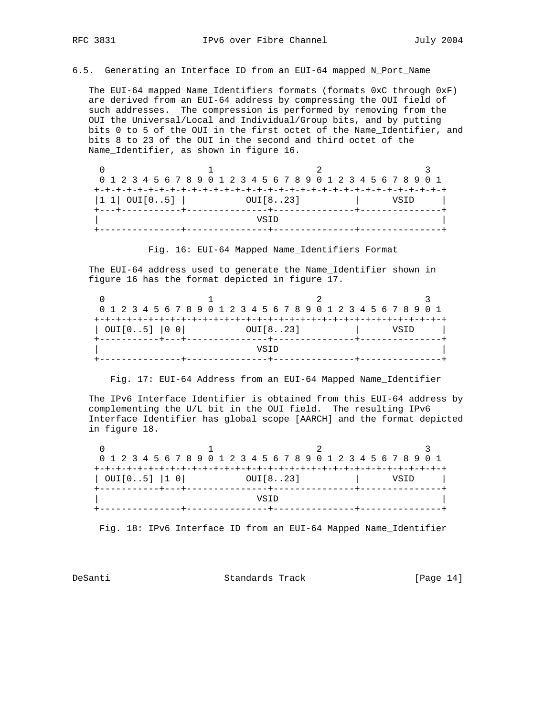6.5. Generating an Interface ID from an EUI-64 mapped N\_Port\_Name

 The EUI-64 mapped Name\_Identifiers formats (formats 0xC through 0xF) are derived from an EUI-64 address by compressing the OUI field of such addresses. The compression is performed by removing from the OUI the Universal/Local and Individual/Group bits, and by putting bits 0 to 5 of the OUI in the first octet of the Name\_Identifier, and bits 8 to 23 of the OUI in the second and third octet of the Name\_Identifier, as shown in figure 16.

| 0 1 2 3 4 5 6 7 8 9 0 1 2 3 4 5 6 7 8 9 0 1 2 3 4 5 6 7 8 9 0 1 |      |
|-----------------------------------------------------------------|------|
|                                                                 |      |
| $ 1 1 $ OUI $[05]$  <br>OUI[823]                                | VSTD |
| VSTD                                                            |      |
|                                                                 |      |

Fig. 16: EUI-64 Mapped Name\_Identifiers Format

 The EUI-64 address used to generate the Name\_Identifier shown in figure 16 has the format depicted in figure 17.

|              |          | 0 1 2 3 4 5 6 7 8 9 0 1 2 3 4 5 6 7 8 9 0 1 2 3 4 5 6 7 8 9 0 1 |
|--------------|----------|-----------------------------------------------------------------|
|              |          |                                                                 |
| OUT[05]  0 0 | OUI[823] |                                                                 |
|              |          |                                                                 |
|              | VSTD     |                                                                 |
|              |          |                                                                 |

Fig. 17: EUI-64 Address from an EUI-64 Mapped Name\_Identifier

 The IPv6 Interface Identifier is obtained from this EUI-64 address by complementing the U/L bit in the OUI field. The resulting IPv6 Interface Identifier has global scope [AARCH] and the format depicted in figure 18.

| 0 1 2 3 4 5 6 7 8 9 0 1 2 3 4 5 6 7 8 9 0 1 2 3 4 5 6 7 8 9 0 1 |                   |  |  |  |  |  |  |  |      |  |          |  |  |  |  |  |  |  |  |  |  |  |  |  |  |  |  |
|-----------------------------------------------------------------|-------------------|--|--|--|--|--|--|--|------|--|----------|--|--|--|--|--|--|--|--|--|--|--|--|--|--|--|--|
|                                                                 |                   |  |  |  |  |  |  |  |      |  |          |  |  |  |  |  |  |  |  |  |  |  |  |  |  |  |  |
|                                                                 | $OUT[05]$ $ 1 0 $ |  |  |  |  |  |  |  |      |  | OUI[823] |  |  |  |  |  |  |  |  |  |  |  |  |  |  |  |  |
|                                                                 |                   |  |  |  |  |  |  |  |      |  |          |  |  |  |  |  |  |  |  |  |  |  |  |  |  |  |  |
|                                                                 |                   |  |  |  |  |  |  |  | VSTD |  |          |  |  |  |  |  |  |  |  |  |  |  |  |  |  |  |  |
|                                                                 |                   |  |  |  |  |  |  |  |      |  |          |  |  |  |  |  |  |  |  |  |  |  |  |  |  |  |  |

Fig. 18: IPv6 Interface ID from an EUI-64 Mapped Name\_Identifier

DeSanti Standards Track [Page 14]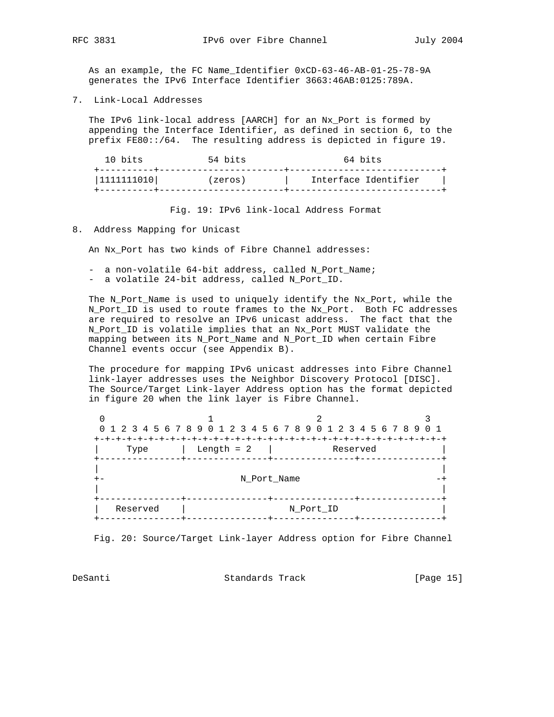As an example, the FC Name\_Identifier 0xCD-63-46-AB-01-25-78-9A generates the IPv6 Interface Identifier 3663:46AB:0125:789A.

7. Link-Local Addresses

 The IPv6 link-local address [AARCH] for an Nx\_Port is formed by appending the Interface Identifier, as defined in section 6, to the prefix FE80::/64. The resulting address is depicted in figure 19.

| 10 bits                      | 54 bits | 64 bits<br>the contract of the contract of the contract of the contract of the contract of |
|------------------------------|---------|--------------------------------------------------------------------------------------------|
| ---------+---<br> 1111111010 | (zeros) | Interface Identifier                                                                       |
|                              |         |                                                                                            |

Fig. 19: IPv6 link-local Address Format

8. Address Mapping for Unicast

An Nx\_Port has two kinds of Fibre Channel addresses:

- a non-volatile 64-bit address, called N\_Port\_Name;
- a volatile 24-bit address, called N\_Port\_ID.

 The N\_Port\_Name is used to uniquely identify the Nx\_Port, while the N\_Port\_ID is used to route frames to the Nx\_Port. Both FC addresses are required to resolve an IPv6 unicast address. The fact that the N\_Port\_ID is volatile implies that an Nx\_Port MUST validate the mapping between its N\_Port\_Name and N\_Port\_ID when certain Fibre Channel events occur (see Appendix B).

 The procedure for mapping IPv6 unicast addresses into Fibre Channel link-layer addresses uses the Neighbor Discovery Protocol [DISC]. The Source/Target Link-layer Address option has the format depicted in figure 20 when the link layer is Fibre Channel.

|          |              | 0 1 2 3 4 5 6 7 8 9 0 1 2 3 4 5 6 7 8 9 0 1 2 3 4 5 6 7 8 9 0 1 |  |
|----------|--------------|-----------------------------------------------------------------|--|
| Type     | Length $= 2$ | Reserved<br>------+-                                            |  |
|          | N Port Name  |                                                                 |  |
| Reserved |              | N Port ID                                                       |  |

Fig. 20: Source/Target Link-layer Address option for Fibre Channel

DeSanti Standards Track [Page 15]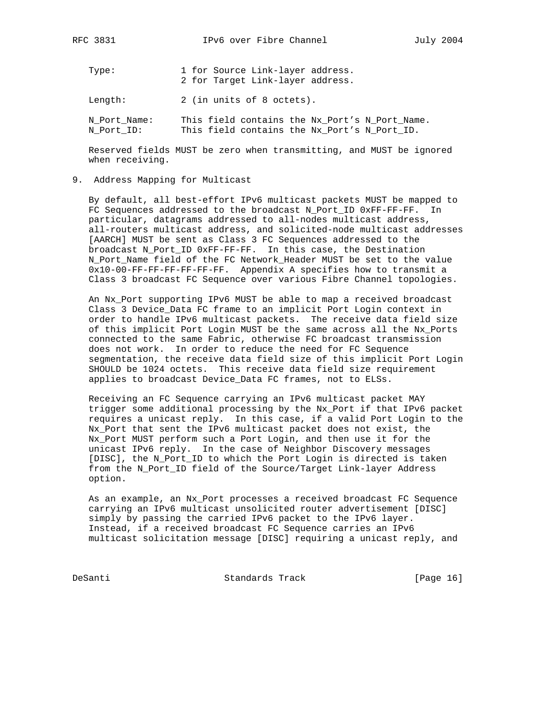Type: 1 for Source Link-layer address. 2 for Target Link-layer address. Length: 2 (in units of 8 octets).

N\_Port\_Name: This field contains the Nx\_Port's N\_Port\_Name.<br>N\_Port\_ID: This field contains the Nx\_Port's N\_Port\_ID. This field contains the Nx\_Port's N\_Port\_ID.

 Reserved fields MUST be zero when transmitting, and MUST be ignored when receiving.

### 9. Address Mapping for Multicast

 By default, all best-effort IPv6 multicast packets MUST be mapped to FC Sequences addressed to the broadcast N\_Port\_ID 0xFF-FF-FF. In particular, datagrams addressed to all-nodes multicast address, all-routers multicast address, and solicited-node multicast addresses [AARCH] MUST be sent as Class 3 FC Sequences addressed to the broadcast N\_Port\_ID 0xFF-FF-FF. In this case, the Destination N\_Port\_Name field of the FC Network\_Header MUST be set to the value 0x10-00-FF-FF-FF-FF-FF-FF. Appendix A specifies how to transmit a Class 3 broadcast FC Sequence over various Fibre Channel topologies.

 An Nx\_Port supporting IPv6 MUST be able to map a received broadcast Class 3 Device\_Data FC frame to an implicit Port Login context in order to handle IPv6 multicast packets. The receive data field size of this implicit Port Login MUST be the same across all the Nx\_Ports connected to the same Fabric, otherwise FC broadcast transmission does not work. In order to reduce the need for FC Sequence segmentation, the receive data field size of this implicit Port Login SHOULD be 1024 octets. This receive data field size requirement applies to broadcast Device\_Data FC frames, not to ELSs.

 Receiving an FC Sequence carrying an IPv6 multicast packet MAY trigger some additional processing by the Nx\_Port if that IPv6 packet requires a unicast reply. In this case, if a valid Port Login to the Nx\_Port that sent the IPv6 multicast packet does not exist, the Nx\_Port MUST perform such a Port Login, and then use it for the unicast IPv6 reply. In the case of Neighbor Discovery messages [DISC], the N\_Port\_ID to which the Port Login is directed is taken from the N\_Port\_ID field of the Source/Target Link-layer Address option.

 As an example, an Nx\_Port processes a received broadcast FC Sequence carrying an IPv6 multicast unsolicited router advertisement [DISC] simply by passing the carried IPv6 packet to the IPv6 layer. Instead, if a received broadcast FC Sequence carries an IPv6 multicast solicitation message [DISC] requiring a unicast reply, and

DeSanti Standards Track [Page 16]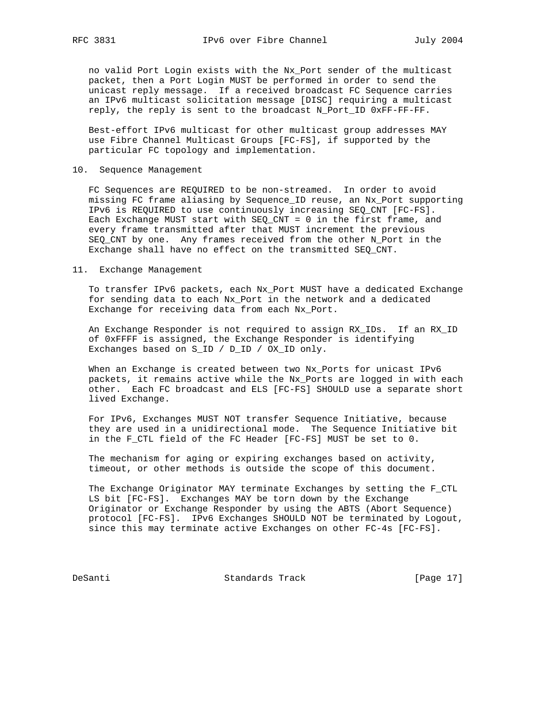no valid Port Login exists with the Nx\_Port sender of the multicast packet, then a Port Login MUST be performed in order to send the unicast reply message. If a received broadcast FC Sequence carries an IPv6 multicast solicitation message [DISC] requiring a multicast reply, the reply is sent to the broadcast N\_Port\_ID 0xFF-FF-FF.

 Best-effort IPv6 multicast for other multicast group addresses MAY use Fibre Channel Multicast Groups [FC-FS], if supported by the particular FC topology and implementation.

## 10. Sequence Management

 FC Sequences are REQUIRED to be non-streamed. In order to avoid missing FC frame aliasing by Sequence\_ID reuse, an Nx\_Port supporting IPv6 is REQUIRED to use continuously increasing SEQ\_CNT [FC-FS]. Each Exchange MUST start with SEQ\_CNT = 0 in the first frame, and every frame transmitted after that MUST increment the previous SEQ\_CNT by one. Any frames received from the other N\_Port in the Exchange shall have no effect on the transmitted SEQ\_CNT.

### 11. Exchange Management

 To transfer IPv6 packets, each Nx\_Port MUST have a dedicated Exchange for sending data to each Nx\_Port in the network and a dedicated Exchange for receiving data from each Nx\_Port.

 An Exchange Responder is not required to assign RX\_IDs. If an RX\_ID of 0xFFFF is assigned, the Exchange Responder is identifying Exchanges based on S\_ID / D\_ID / OX\_ID only.

 When an Exchange is created between two Nx\_Ports for unicast IPv6 packets, it remains active while the Nx\_Ports are logged in with each other. Each FC broadcast and ELS [FC-FS] SHOULD use a separate short lived Exchange.

 For IPv6, Exchanges MUST NOT transfer Sequence Initiative, because they are used in a unidirectional mode. The Sequence Initiative bit in the F\_CTL field of the FC Header [FC-FS] MUST be set to 0.

 The mechanism for aging or expiring exchanges based on activity, timeout, or other methods is outside the scope of this document.

 The Exchange Originator MAY terminate Exchanges by setting the F\_CTL LS bit [FC-FS]. Exchanges MAY be torn down by the Exchange Originator or Exchange Responder by using the ABTS (Abort Sequence) protocol [FC-FS]. IPv6 Exchanges SHOULD NOT be terminated by Logout, since this may terminate active Exchanges on other FC-4s [FC-FS].

DeSanti Standards Track [Page 17]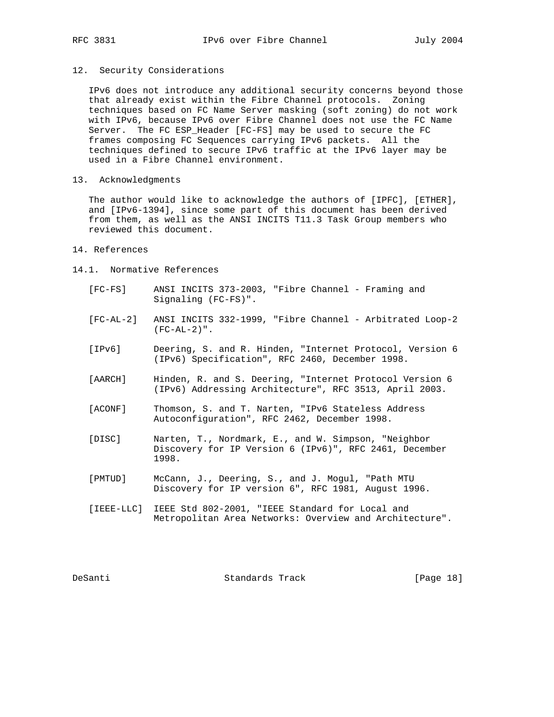## 12. Security Considerations

 IPv6 does not introduce any additional security concerns beyond those that already exist within the Fibre Channel protocols. Zoning techniques based on FC Name Server masking (soft zoning) do not work with IPv6, because IPv6 over Fibre Channel does not use the FC Name Server. The FC ESP\_Header [FC-FS] may be used to secure the FC frames composing FC Sequences carrying IPv6 packets. All the techniques defined to secure IPv6 traffic at the IPv6 layer may be used in a Fibre Channel environment.

13. Acknowledgments

 The author would like to acknowledge the authors of [IPFC], [ETHER], and [IPv6-1394], since some part of this document has been derived from them, as well as the ANSI INCITS T11.3 Task Group members who reviewed this document.

## 14. References

- 14.1. Normative References
	- [FC-FS] ANSI INCITS 373-2003, "Fibre Channel Framing and Signaling (FC-FS)".
	- [FC-AL-2] ANSI INCITS 332-1999, "Fibre Channel Arbitrated Loop-2  $(FC-AL-2)$ ".
	- [IPv6] Deering, S. and R. Hinden, "Internet Protocol, Version 6 (IPv6) Specification", RFC 2460, December 1998.
	- [AARCH] Hinden, R. and S. Deering, "Internet Protocol Version 6 (IPv6) Addressing Architecture", RFC 3513, April 2003.
	- [ACONF] Thomson, S. and T. Narten, "IPv6 Stateless Address Autoconfiguration", RFC 2462, December 1998.
	- [DISC] Narten, T., Nordmark, E., and W. Simpson, "Neighbor Discovery for IP Version 6 (IPv6)", RFC 2461, December 1998.
	- [PMTUD] McCann, J., Deering, S., and J. Mogul, "Path MTU Discovery for IP version 6", RFC 1981, August 1996.
	- [IEEE-LLC] IEEE Std 802-2001, "IEEE Standard for Local and Metropolitan Area Networks: Overview and Architecture".

DeSanti Standards Track [Page 18]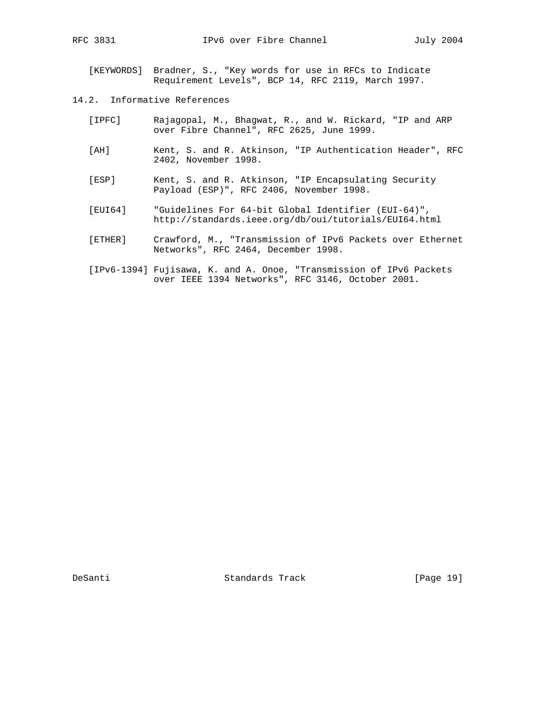[KEYWORDS] Bradner, S., "Key words for use in RFCs to Indicate Requirement Levels", BCP 14, RFC 2119, March 1997.

- 14.2. Informative References
	- [IPFC] Rajagopal, M., Bhagwat, R., and W. Rickard, "IP and ARP over Fibre Channel", RFC 2625, June 1999.
	- [AH] Kent, S. and R. Atkinson, "IP Authentication Header", RFC 2402, November 1998.
	- [ESP] Kent, S. and R. Atkinson, "IP Encapsulating Security Payload (ESP)", RFC 2406, November 1998.
	- [EUI64] "Guidelines For 64-bit Global Identifier (EUI-64)", http://standards.ieee.org/db/oui/tutorials/EUI64.html
	- [ETHER] Crawford, M., "Transmission of IPv6 Packets over Ethernet Networks", RFC 2464, December 1998.
	- [IPv6-1394] Fujisawa, K. and A. Onoe, "Transmission of IPv6 Packets over IEEE 1394 Networks", RFC 3146, October 2001.

DeSanti Standards Track [Page 19]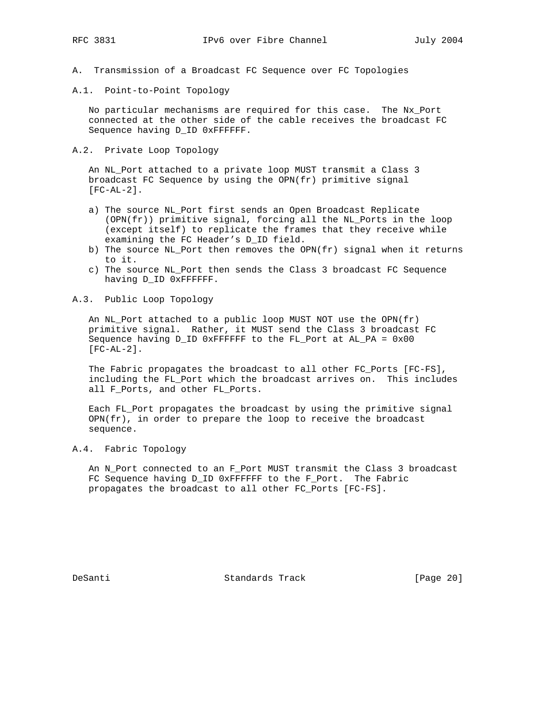- A. Transmission of a Broadcast FC Sequence over FC Topologies
- A.1. Point-to-Point Topology

 No particular mechanisms are required for this case. The Nx\_Port connected at the other side of the cable receives the broadcast FC Sequence having D\_ID 0xFFFFFF.

A.2. Private Loop Topology

 An NL\_Port attached to a private loop MUST transmit a Class 3 broadcast FC Sequence by using the OPN(fr) primitive signal [FC-AL-2].

- a) The source NL\_Port first sends an Open Broadcast Replicate (OPN(fr)) primitive signal, forcing all the NL\_Ports in the loop (except itself) to replicate the frames that they receive while examining the FC Header's D\_ID field.
- b) The source NL\_Port then removes the OPN(fr) signal when it returns to it.
- c) The source NL\_Port then sends the Class 3 broadcast FC Sequence having D\_ID 0xFFFFFF.
- A.3. Public Loop Topology

 An NL\_Port attached to a public loop MUST NOT use the OPN(fr) primitive signal. Rather, it MUST send the Class 3 broadcast FC Sequence having D\_ID 0xFFFFFF to the FL\_Port at AL\_PA = 0x00 [FC-AL-2].

 The Fabric propagates the broadcast to all other FC\_Ports [FC-FS], including the FL\_Port which the broadcast arrives on. This includes all F\_Ports, and other FL\_Ports.

 Each FL\_Port propagates the broadcast by using the primitive signal  $OPN(fr)$ , in order to prepare the loop to receive the broadcast sequence.

A.4. Fabric Topology

 An N\_Port connected to an F\_Port MUST transmit the Class 3 broadcast FC Sequence having D\_ID 0xFFFFFF to the F\_Port. The Fabric propagates the broadcast to all other FC\_Ports [FC-FS].

DeSanti Standards Track [Page 20]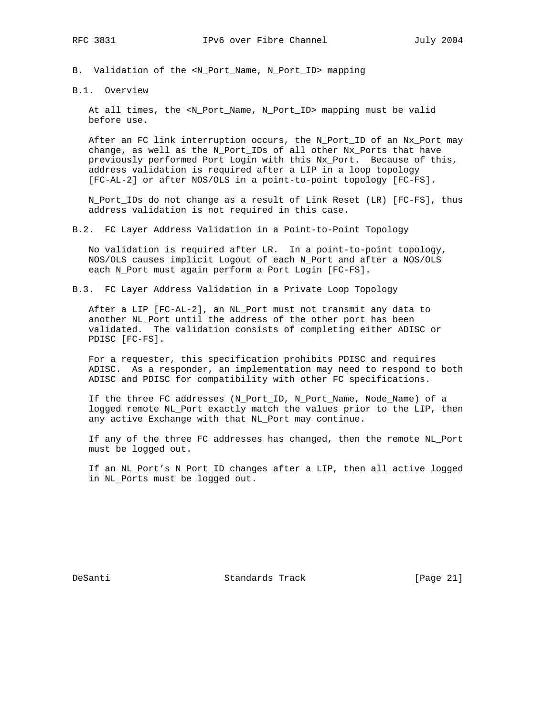B. Validation of the <N\_Port\_Name, N\_Port\_ID> mapping

B.1. Overview

 At all times, the <N\_Port\_Name, N\_Port\_ID> mapping must be valid before use.

 After an FC link interruption occurs, the N\_Port\_ID of an Nx\_Port may change, as well as the N\_Port\_IDs of all other Nx\_Ports that have previously performed Port Login with this Nx\_Port. Because of this, address validation is required after a LIP in a loop topology [FC-AL-2] or after NOS/OLS in a point-to-point topology [FC-FS].

 N\_Port\_IDs do not change as a result of Link Reset (LR) [FC-FS], thus address validation is not required in this case.

B.2. FC Layer Address Validation in a Point-to-Point Topology

 No validation is required after LR. In a point-to-point topology, NOS/OLS causes implicit Logout of each N\_Port and after a NOS/OLS each N\_Port must again perform a Port Login [FC-FS].

B.3. FC Layer Address Validation in a Private Loop Topology

 After a LIP [FC-AL-2], an NL\_Port must not transmit any data to another NL\_Port until the address of the other port has been validated. The validation consists of completing either ADISC or PDISC [FC-FS].

 For a requester, this specification prohibits PDISC and requires ADISC. As a responder, an implementation may need to respond to both ADISC and PDISC for compatibility with other FC specifications.

 If the three FC addresses (N\_Port\_ID, N\_Port\_Name, Node\_Name) of a logged remote NL\_Port exactly match the values prior to the LIP, then any active Exchange with that NL\_Port may continue.

 If any of the three FC addresses has changed, then the remote NL\_Port must be logged out.

 If an NL\_Port's N\_Port\_ID changes after a LIP, then all active logged in NL\_Ports must be logged out.

DeSanti Standards Track [Page 21]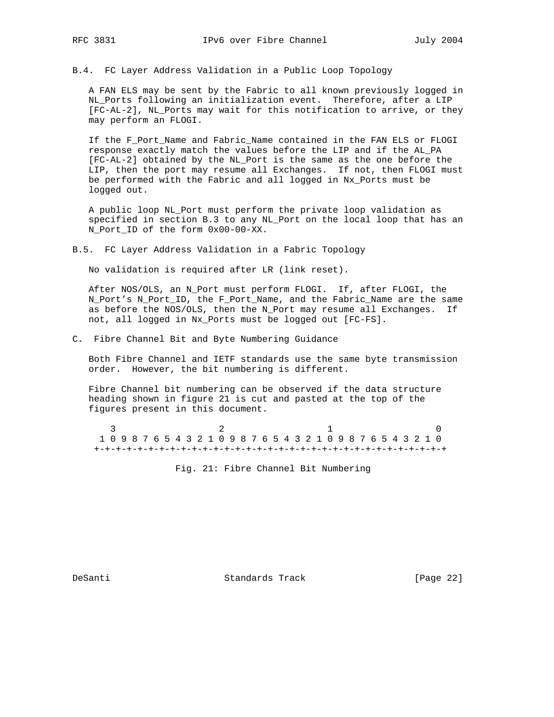B.4. FC Layer Address Validation in a Public Loop Topology

 A FAN ELS may be sent by the Fabric to all known previously logged in NL\_Ports following an initialization event. Therefore, after a LIP [FC-AL-2], NL\_Ports may wait for this notification to arrive, or they may perform an FLOGI.

 If the F\_Port\_Name and Fabric\_Name contained in the FAN ELS or FLOGI response exactly match the values before the LIP and if the AL\_PA [FC-AL-2] obtained by the NL\_Port is the same as the one before the LIP, then the port may resume all Exchanges. If not, then FLOGI must be performed with the Fabric and all logged in Nx\_Ports must be logged out.

 A public loop NL\_Port must perform the private loop validation as specified in section B.3 to any NL\_Port on the local loop that has an N\_Port\_ID of the form 0x00-00-XX.

B.5. FC Layer Address Validation in a Fabric Topology

No validation is required after LR (link reset).

 After NOS/OLS, an N\_Port must perform FLOGI. If, after FLOGI, the N\_Port's N\_Port\_ID, the F\_Port\_Name, and the Fabric\_Name are the same as before the NOS/OLS, then the N\_Port may resume all Exchanges. If not, all logged in Nx\_Ports must be logged out [FC-FS].

C. Fibre Channel Bit and Byte Numbering Guidance

 Both Fibre Channel and IETF standards use the same byte transmission order. However, the bit numbering is different.

 Fibre Channel bit numbering can be observed if the data structure heading shown in figure 21 is cut and pasted at the top of the figures present in this document.

 $\frac{3}{2}$  1 0 1 0 9 8 7 6 5 4 3 2 1 0 9 8 7 6 5 4 3 2 1 0 9 8 7 6 5 4 3 2 1 0 +-+-+-+-+-+-+-+-+-+-+-+-+-+-+-+-+-+-+-+-+-+-+-+-+-+-+-+-+-+-+-+-+

Fig. 21: Fibre Channel Bit Numbering

DeSanti Standards Track [Page 22]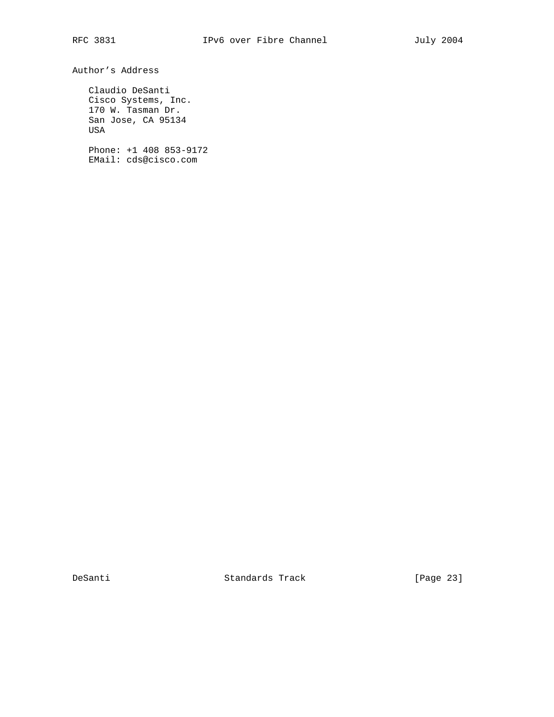Author's Address

 Claudio DeSanti Cisco Systems, Inc. 170 W. Tasman Dr. San Jose, CA 95134 USA

 Phone: +1 408 853-9172 EMail: cds@cisco.com

DeSanti Standards Track [Page 23]